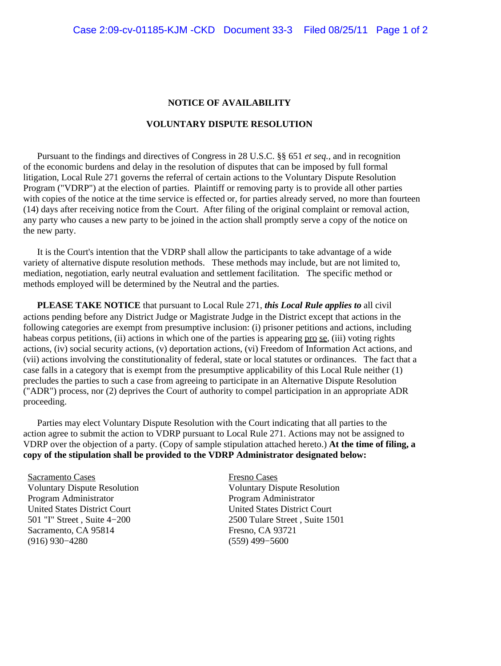## **NOTICE OF AVAILABILITY**

## **VOLUNTARY DISPUTE RESOLUTION**

 Pursuant to the findings and directives of Congress in 28 U.S.C. §§ 651 *et seq.,* and in recognition of the economic burdens and delay in the resolution of disputes that can be imposed by full formal litigation, Local Rule 271 governs the referral of certain actions to the Voluntary Dispute Resolution Program ("VDRP") at the election of parties. Plaintiff or removing party is to provide all other parties with copies of the notice at the time service is effected or, for parties already served, no more than fourteen (14) days after receiving notice from the Court. After filing of the original complaint or removal action, any party who causes a new party to be joined in the action shall promptly serve a copy of the notice on the new party.

 It is the Court's intention that the VDRP shall allow the participants to take advantage of a wide variety of alternative dispute resolution methods. These methods may include, but are not limited to, mediation, negotiation, early neutral evaluation and settlement facilitation. The specific method or methods employed will be determined by the Neutral and the parties.

 **PLEASE TAKE NOTICE** that pursuant to Local Rule 271, *this Local Rule applies to* all civil actions pending before any District Judge or Magistrate Judge in the District except that actions in the following categories are exempt from presumptive inclusion: (i) prisoner petitions and actions, including habeas corpus petitions, (ii) actions in which one of the parties is appearing pro se, (iii) voting rights actions, (iv) social security actions, (v) deportation actions, (vi) Freedom of Information Act actions, and (vii) actions involving the constitutionality of federal, state or local statutes or ordinances. The fact that a case falls in a category that is exempt from the presumptive applicability of this Local Rule neither (1) precludes the parties to such a case from agreeing to participate in an Alternative Dispute Resolution ("ADR") process, nor (2) deprives the Court of authority to compel participation in an appropriate ADR proceeding.

 Parties may elect Voluntary Dispute Resolution with the Court indicating that all parties to the action agree to submit the action to VDRP pursuant to Local Rule 271. Actions may not be assigned to VDRP over the objection of a party. (Copy of sample stipulation attached hereto.) **At the time of filing, a copy of the stipulation shall be provided to the VDRP Administrator designated below:**

Sacramento Cases Fresno Cases Program Administrator Program Administrator United States District Court<br>
501 "I" Street . Suite 4–200 2500 Tulare Street . Suite 15 Sacramento, CA 95814 Fresno, CA 93721 (916) 930−4280 (559) 499−5600

Voluntary Dispute Resolution Voluntary Dispute Resolution 2500 Tulare Street , Suite 1501